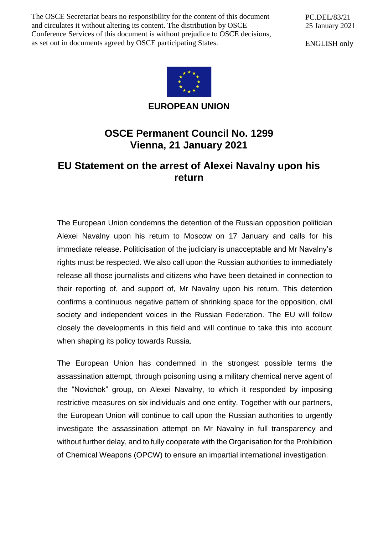The OSCE Secretariat bears no responsibility for the content of this document and circulates it without altering its content. The distribution by OSCE Conference Services of this document is without prejudice to OSCE decisions, as set out in documents agreed by OSCE participating States.

PC.DEL/83/21 25 January 2021

ENGLISH only



**EUROPEAN UNION**

## **OSCE Permanent Council No. 1299 Vienna, 21 January 2021**

## **EU Statement on the arrest of Alexei Navalny upon his return**

The European Union condemns the detention of the Russian opposition politician Alexei Navalny upon his return to Moscow on 17 January and calls for his immediate release. Politicisation of the judiciary is unacceptable and Mr Navalny's rights must be respected. We also call upon the Russian authorities to immediately release all those journalists and citizens who have been detained in connection to their reporting of, and support of, Mr Navalny upon his return. This detention confirms a continuous negative pattern of shrinking space for the opposition, civil society and independent voices in the Russian Federation. The EU will follow closely the developments in this field and will continue to take this into account when shaping its policy towards Russia.

The European Union has condemned in the strongest possible terms the assassination attempt, through poisoning using a military chemical nerve agent of the "Novichok" group, on Alexei Navalny, to which it responded by imposing restrictive measures on six individuals and one entity. Together with our partners, the European Union will continue to call upon the Russian authorities to urgently investigate the assassination attempt on Mr Navalny in full transparency and without further delay, and to fully cooperate with the Organisation for the Prohibition of Chemical Weapons (OPCW) to ensure an impartial international investigation.